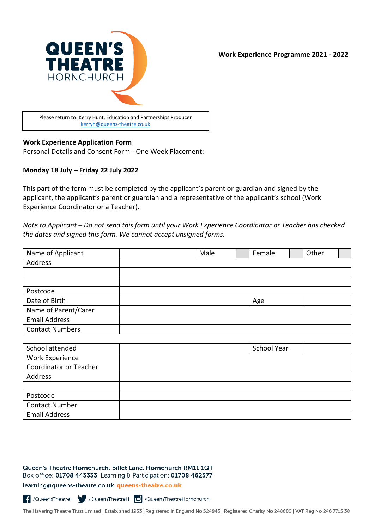

### **Work Experience Application Form**

Personal Details and Consent Form - One Week Placement:

### **Monday 18 July – Friday 22 July 2022**

This part of the form must be completed by the applicant's parent or guardian and signed by the applicant, the applicant's parent or guardian and a representative of the applicant's school (Work Experience Coordinator or a Teacher).

*Note to Applicant – Do not send this form until your Work Experience Coordinator or Teacher has checked the dates and signed this form. We cannot accept unsigned forms.*

| Name of Applicant      | Male | Female | Other |  |
|------------------------|------|--------|-------|--|
| Address                |      |        |       |  |
|                        |      |        |       |  |
|                        |      |        |       |  |
| Postcode               |      |        |       |  |
| Date of Birth          |      | Age    |       |  |
| Name of Parent/Carer   |      |        |       |  |
| <b>Email Address</b>   |      |        |       |  |
| <b>Contact Numbers</b> |      |        |       |  |

| School attended               | School Year |
|-------------------------------|-------------|
| Work Experience               |             |
| <b>Coordinator or Teacher</b> |             |
| Address                       |             |
|                               |             |
| Postcode                      |             |
| <b>Contact Number</b>         |             |
| <b>Email Address</b>          |             |

#### Queen's Theatre Hornchurch, Billet Lane, Hornchurch RM11 1QT Box office: 01708 443333 Learning & Participation: 01708 462377

learning@queens-theatre.co.uk queens-theatre.co.uk

C /QueensTheatreH / /QueensTheatreH **O** /QueensTheatreHornchurch

The Havering Theatre Trust Limited | Established 1953 | Registered in England No 524845 | Registered Charity No 248680 | VAT Reg No 246 7715 38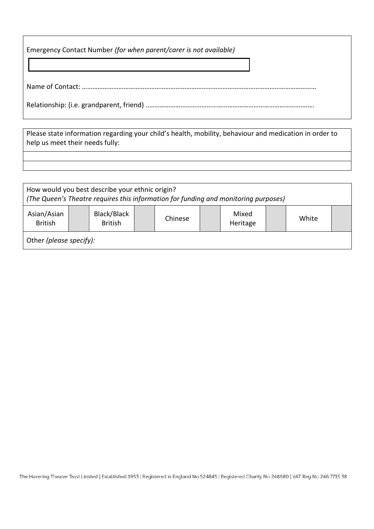| Emergency Contact Number (for when parent/carer is not available) |
|-------------------------------------------------------------------|
|                                                                   |
|                                                                   |

Please state information regarding your child's health, mobility, behaviour and medication in order to help us meet their needs fully:

| How would you best describe your ethnic origin?<br>(The Queen's Theatre requires this information for funding and monitoring purposes) |  |                               |  |         |  |                   |  |       |  |
|----------------------------------------------------------------------------------------------------------------------------------------|--|-------------------------------|--|---------|--|-------------------|--|-------|--|
| Asian/Asian<br><b>British</b>                                                                                                          |  | Black/Black<br><b>British</b> |  | Chinese |  | Mixed<br>Heritage |  | White |  |
| Other (please specify):                                                                                                                |  |                               |  |         |  |                   |  |       |  |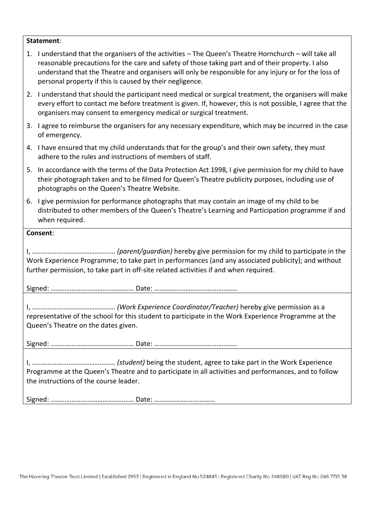### **Statement**:

|                                                                                                                                                                                              | 1. I understand that the organisers of the activities - The Queen's Theatre Hornchurch - will take all<br>reasonable precautions for the care and safety of those taking part and of their property. I also<br>understand that the Theatre and organisers will only be responsible for any injury or for the loss of<br>personal property if this is caused by their negligence. |  |  |  |  |  |  |
|----------------------------------------------------------------------------------------------------------------------------------------------------------------------------------------------|----------------------------------------------------------------------------------------------------------------------------------------------------------------------------------------------------------------------------------------------------------------------------------------------------------------------------------------------------------------------------------|--|--|--|--|--|--|
|                                                                                                                                                                                              | 2. I understand that should the participant need medical or surgical treatment, the organisers will make<br>every effort to contact me before treatment is given. If, however, this is not possible, I agree that the<br>organisers may consent to emergency medical or surgical treatment.                                                                                      |  |  |  |  |  |  |
|                                                                                                                                                                                              | 3. I agree to reimburse the organisers for any necessary expenditure, which may be incurred in the case<br>of emergency.                                                                                                                                                                                                                                                         |  |  |  |  |  |  |
|                                                                                                                                                                                              | 4. I have ensured that my child understands that for the group's and their own safety, they must<br>adhere to the rules and instructions of members of staff.                                                                                                                                                                                                                    |  |  |  |  |  |  |
|                                                                                                                                                                                              | 5. In accordance with the terms of the Data Protection Act 1998, I give permission for my child to have<br>their photograph taken and to be filmed for Queen's Theatre publicity purposes, including use of<br>photographs on the Queen's Theatre Website.                                                                                                                       |  |  |  |  |  |  |
|                                                                                                                                                                                              | 6. I give permission for performance photographs that may contain an image of my child to be<br>distributed to other members of the Queen's Theatre's Learning and Participation programme if and<br>when required.                                                                                                                                                              |  |  |  |  |  |  |
| Consent:                                                                                                                                                                                     |                                                                                                                                                                                                                                                                                                                                                                                  |  |  |  |  |  |  |
| Work Experience Programme; to take part in performances (and any associated publicity); and without<br>further permission, to take part in off-site related activities if and when required. |                                                                                                                                                                                                                                                                                                                                                                                  |  |  |  |  |  |  |
|                                                                                                                                                                                              |                                                                                                                                                                                                                                                                                                                                                                                  |  |  |  |  |  |  |
| representative of the school for this student to participate in the Work Experience Programme at the<br>Queen's Theatre on the dates given.                                                  |                                                                                                                                                                                                                                                                                                                                                                                  |  |  |  |  |  |  |
|                                                                                                                                                                                              |                                                                                                                                                                                                                                                                                                                                                                                  |  |  |  |  |  |  |
| Programme at the Queen's Theatre and to participate in all activities and performances, and to follow<br>the instructions of the course leader.                                              |                                                                                                                                                                                                                                                                                                                                                                                  |  |  |  |  |  |  |
|                                                                                                                                                                                              |                                                                                                                                                                                                                                                                                                                                                                                  |  |  |  |  |  |  |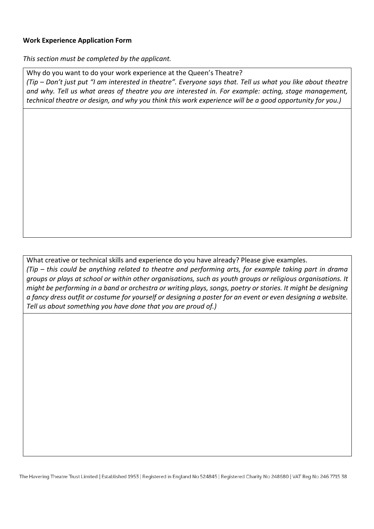## **Work Experience Application Form**

*This section must be completed by the applicant.* 

Why do you want to do your work experience at the Queen's Theatre? *(Tip – Don't just put "I am interested in theatre". Everyone says that. Tell us what you like about theatre and why. Tell us what areas of theatre you are interested in. For example: acting, stage management, technical theatre or design, and why you think this work experience will be a good opportunity for you.)*

What creative or technical skills and experience do you have already? Please give examples. *(Tip – this could be anything related to theatre and performing arts, for example taking part in drama groups or plays at school or within other organisations, such as youth groups or religious organisations. It might be performing in a band or orchestra or writing plays, songs, poetry or stories. It might be designing a fancy dress outfit or costume for yourself or designing a poster for an event or even designing a website. Tell us about something you have done that you are proud of.)*

The Havering Theatre Trust Limited | Established 1953 | Registered in England No 524845 | Registered Charity No 248680 | VAT Reg No 246 7715 38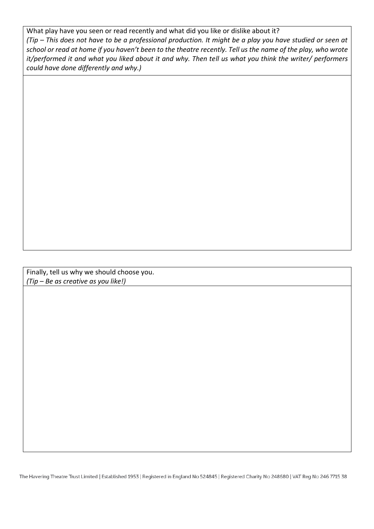What play have you seen or read recently and what did you like or dislike about it? *(Tip – This does not have to be a professional production. It might be a play you have studied or seen at school or read at home if you haven't been to the theatre recently. Tell us the name of the play, who wrote it/performed it and what you liked about it and why. Then tell us what you think the writer/ performers could have done differently and why.)*

Finally, tell us why we should choose you. *(Tip – Be as creative as you like!)*

The Havering Theatre Trust Limited | Established 1953 | Registered in England No 524845 | Registered Charity No 248680 | VAT Reg No 246 7715 38